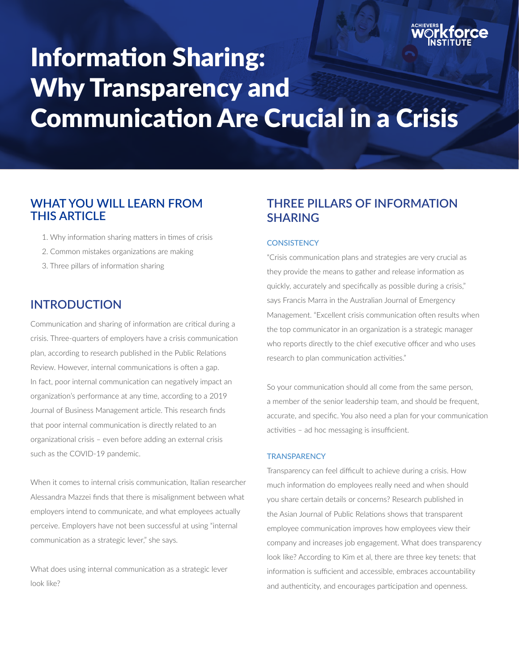

# Information Sharing: Why Transparency and Communication Are Crucial in a Crisis

# **WHAT YOU WILL LEARN FROM THIS ARTICLE**

- 1. Why information sharing matters in times of crisis
- 2. Common mistakes organizations are making
- 3. Three pillars of information sharing

# **INTRODUCTION**

Communication and sharing of information are critical during a crisis. Three-quarters of employers have a crisis communication plan, according to research published in the Public Relations Review. However, internal communications is often a gap. In fact, poor internal communication can negatively impact an organization's performance at any time, according to a 2019 Journal of Business Management article. This research finds that poor internal communication is directly related to an organizational crisis – even before adding an external crisis such as the COVID-19 pandemic.

When it comes to internal crisis communication, Italian researcher Alessandra Mazzei finds that there is misalignment between what employers intend to communicate, and what employees actually perceive. Employers have not been successful at using "internal communication as a strategic lever," she says.

What does using internal communication as a strategic lever look like?

# **THREE PILLARS OF INFORMATION SHARING**

#### **CONSISTENCY**

"Crisis communication plans and strategies are very crucial as they provide the means to gather and release information as quickly, accurately and specifically as possible during a crisis," says Francis Marra in the Australian Journal of Emergency Management. "Excellent crisis communication often results when the top communicator in an organization is a strategic manager who reports directly to the chief executive officer and who uses research to plan communication activities."

So your communication should all come from the same person, a member of the senior leadership team, and should be frequent, accurate, and specific. You also need a plan for your communication activities – ad hoc messaging is insufficient.

### **TRANSPARENCY**

Transparency can feel difficult to achieve during a crisis. How much information do employees really need and when should you share certain details or concerns? Research published in the Asian Journal of Public Relations shows that transparent employee communication improves how employees view their company and increases job engagement. What does transparency look like? According to Kim et al, there are three key tenets: that information is sufficient and accessible, embraces accountability and authenticity, and encourages participation and openness.